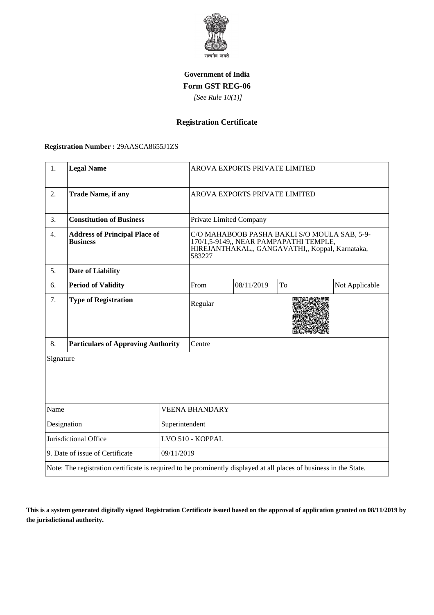

## **Government of India Form GST REG-06**

 *[See Rule 10(1)]*

**Registration Certificate**

## **Registration Number :** 29AASCA8655J1ZS

| 1.                              | <b>Legal Name</b>                                                                                                  |            | AROVA EXPORTS PRIVATE LIMITED                                                                                                                       |            |    |                |  |
|---------------------------------|--------------------------------------------------------------------------------------------------------------------|------------|-----------------------------------------------------------------------------------------------------------------------------------------------------|------------|----|----------------|--|
| 2.                              | <b>Trade Name, if any</b>                                                                                          |            | AROVA EXPORTS PRIVATE LIMITED                                                                                                                       |            |    |                |  |
| 3.                              | <b>Constitution of Business</b>                                                                                    |            | Private Limited Company                                                                                                                             |            |    |                |  |
| 4.                              | <b>Address of Principal Place of</b><br><b>Business</b>                                                            |            | C/O MAHABOOB PASHA BAKLI S/O MOULA SAB, 5-9-<br>170/1,5-9149,, NEAR PAMPAPATHI TEMPLE,<br>HIREJANTHAKAL,, GANGAVATHI,, Koppal, Karnataka,<br>583227 |            |    |                |  |
| 5.                              | <b>Date of Liability</b>                                                                                           |            |                                                                                                                                                     |            |    |                |  |
| 6.                              | <b>Period of Validity</b>                                                                                          |            | From                                                                                                                                                | 08/11/2019 | To | Not Applicable |  |
| 7.                              | <b>Type of Registration</b>                                                                                        |            | Regular                                                                                                                                             |            |    |                |  |
| 8.                              | <b>Particulars of Approving Authority</b>                                                                          |            | Centre                                                                                                                                              |            |    |                |  |
| Signature                       |                                                                                                                    |            |                                                                                                                                                     |            |    |                |  |
| Name                            |                                                                                                                    |            | <b>VEENA BHANDARY</b>                                                                                                                               |            |    |                |  |
| Designation<br>Superintendent   |                                                                                                                    |            |                                                                                                                                                     |            |    |                |  |
| Jurisdictional Office           |                                                                                                                    |            | LVO 510 - KOPPAL                                                                                                                                    |            |    |                |  |
| 9. Date of issue of Certificate |                                                                                                                    | 09/11/2019 |                                                                                                                                                     |            |    |                |  |
|                                 | Note: The registration certificate is required to be prominently displayed at all places of business in the State. |            |                                                                                                                                                     |            |    |                |  |

**This is a system generated digitally signed Registration Certificate issued based on the approval of application granted on 08/11/2019 by the jurisdictional authority.**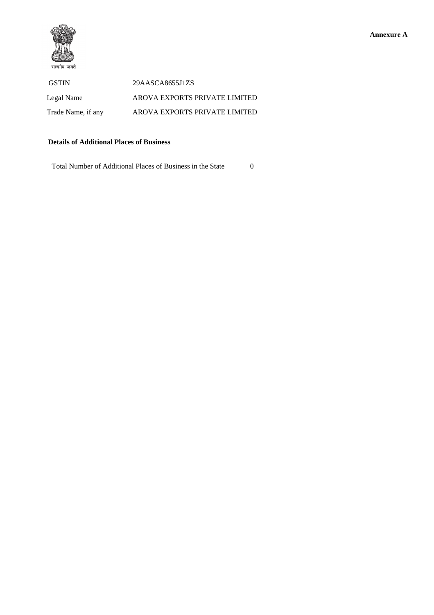

 GSTIN 29AASCA8655J1ZS Legal Name AROVA EXPORTS PRIVATE LIMITED Trade Name, if any AROVA EXPORTS PRIVATE LIMITED

## **Details of Additional Places of Business**

Total Number of Additional Places of Business in the State 0